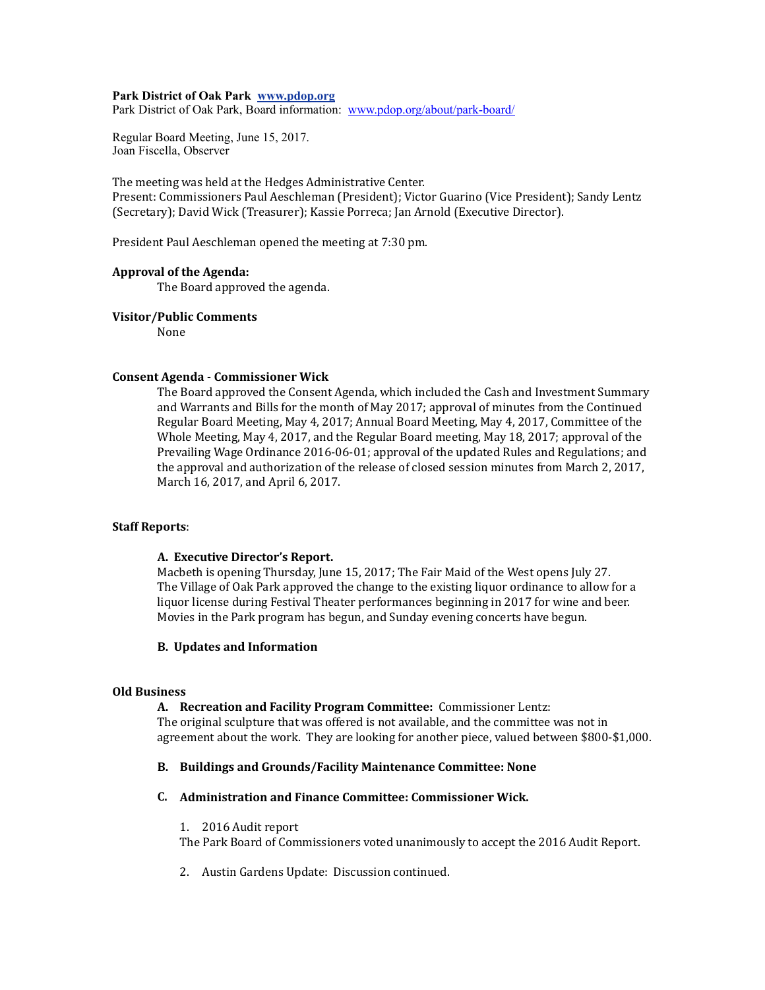### **Park District of Oak Park www.pdop.org**

Park District of Oak Park, Board information: [www.pdop.org/about/park-board/](http://www.pdop.org/about/park-board/)

Regular Board Meeting, June 15, 2017. Joan Fiscella, Observer

The meeting was held at the Hedges Administrative Center.

Present: Commissioners Paul Aeschleman (President); Victor Guarino (Vice President); Sandy Lentz (Secretary); David Wick (Treasurer); Kassie Porreca; Jan Arnold (Executive Director).

President Paul Aeschleman opened the meeting at 7:30 pm.

#### Approval of the Agenda:

The Board approved the agenda.

## **Visitor/Public Comments**

None 

## **Consent Agenda - Commissioner Wick**

The Board approved the Consent Agenda, which included the Cash and Investment Summary and Warrants and Bills for the month of May 2017; approval of minutes from the Continued Regular Board Meeting, May 4, 2017; Annual Board Meeting, May 4, 2017, Committee of the Whole Meeting, May 4, 2017, and the Regular Board meeting, May 18, 2017; approval of the Prevailing Wage Ordinance 2016-06-01; approval of the updated Rules and Regulations; and the approval and authorization of the release of closed session minutes from March 2, 2017, March 16, 2017, and April 6, 2017.

## **Staff Reports:**

#### A. Executive Director's Report.

Macbeth is opening Thursday, June 15, 2017; The Fair Maid of the West opens July 27. The Village of Oak Park approved the change to the existing liquor ordinance to allow for a liquor license during Festival Theater performances beginning in 2017 for wine and beer. Movies in the Park program has begun, and Sunday evening concerts have begun.

## **B.** Updates and Information

### **Old Business**

## A. Recreation and Facility Program Committee: Commissioner Lentz:

The original sculpture that was offered is not available, and the committee was not in agreement about the work. They are looking for another piece, valued between \$800-\$1,000.

## B. Buildings and Grounds/Facility Maintenance Committee: None

## **C. Administration and Finance Committee: Commissioner Wick.**

1. 2016 Audit report

The Park Board of Commissioners voted unanimously to accept the 2016 Audit Report.

2. Austin Gardens Update: Discussion continued.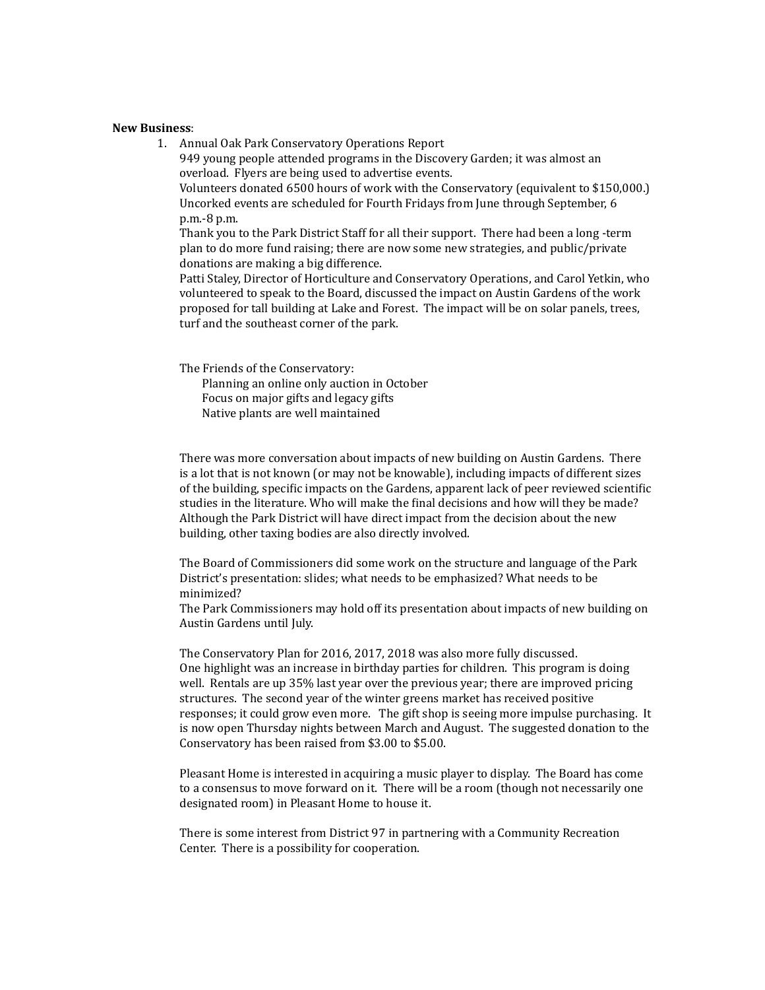#### **New Business**:

1. Annual Oak Park Conservatory Operations Report 949 young people attended programs in the Discovery Garden; it was almost an overload. Flyers are being used to advertise events. Volunteers donated 6500 hours of work with the Conservatory (equivalent to \$150,000.) Uncorked events are scheduled for Fourth Fridays from June through September, 6 p.m.-8 p.m. Thank you to the Park District Staff for all their support. There had been a long -term plan to do more fund raising; there are now some new strategies, and public/private donations are making a big difference. Patti Staley, Director of Horticulture and Conservatory Operations, and Carol Yetkin, who

volunteered to speak to the Board, discussed the impact on Austin Gardens of the work proposed for tall building at Lake and Forest. The impact will be on solar panels, trees, turf and the southeast corner of the park.

The Friends of the Conservatory: Planning an online only auction in October Focus on major gifts and legacy gifts

Native plants are well maintained

There was more conversation about impacts of new building on Austin Gardens. There is a lot that is not known (or may not be knowable), including impacts of different sizes of the building, specific impacts on the Gardens, apparent lack of peer reviewed scientific studies in the literature. Who will make the final decisions and how will they be made? Although the Park District will have direct impact from the decision about the new building, other taxing bodies are also directly involved.

The Board of Commissioners did some work on the structure and language of the Park District's presentation: slides; what needs to be emphasized? What needs to be minimized? 

The Park Commissioners may hold off its presentation about impacts of new building on Austin Gardens until July.

The Conservatory Plan for 2016, 2017, 2018 was also more fully discussed. One highlight was an increase in birthday parties for children. This program is doing well. Rentals are up 35% last year over the previous year; there are improved pricing structures. The second year of the winter greens market has received positive responses; it could grow even more. The gift shop is seeing more impulse purchasing. It is now open Thursday nights between March and August. The suggested donation to the Conservatory has been raised from \$3.00 to \$5.00.

Pleasant Home is interested in acquiring a music player to display. The Board has come to a consensus to move forward on it. There will be a room (though not necessarily one designated room) in Pleasant Home to house it.

There is some interest from District 97 in partnering with a Community Recreation Center. There is a possibility for cooperation.